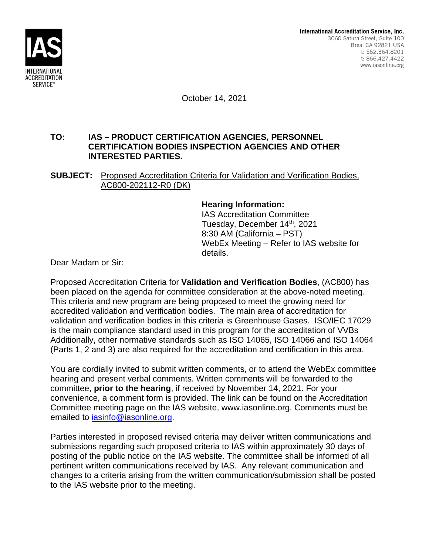

October 14, 2021

## **TO: IAS – PRODUCT CERTIFICATION AGENCIES, PERSONNEL CERTIFICATION BODIES INSPECTION AGENCIES AND OTHER INTERESTED PARTIES.**

**SUBJECT:** Proposed Accreditation Criteria for Validation and Verification Bodies, AC800-202112-R0 (DK)

### **Hearing Information:**

IAS Accreditation Committee Tuesday, December 14th, 2021 8:30 AM (California – PST) WebEx Meeting – Refer to IAS website for details.

Dear Madam or Sir:

Proposed Accreditation Criteria for **Validation and Verification Bodies**, (AC800) has been placed on the agenda for committee consideration at the above-noted meeting. This criteria and new program are being proposed to meet the growing need for accredited validation and verification bodies. The main area of accreditation for validation and verification bodies in this criteria is Greenhouse Gases. ISO/IEC 17029 is the main compliance standard used in this program for the accreditation of VVBs Additionally, other normative standards such as ISO 14065, ISO 14066 and ISO 14064 (Parts 1, 2 and 3) are also required for the accreditation and certification in this area.

You are cordially invited to submit written comments, or to attend the WebEx committee hearing and present verbal comments. Written comments will be forwarded to the committee, **prior to the hearing**, if received by November 14, 2021. For your convenience, a comment form is provided. The link can be found on the Accreditation Committee meeting page on the IAS website, www.iasonline.org. Comments must be emailed to iasinfo@iasonline.org.

Parties interested in proposed revised criteria may deliver written communications and submissions regarding such proposed criteria to IAS within approximately 30 days of posting of the public notice on the IAS website. The committee shall be informed of all pertinent written communications received by IAS. Any relevant communication and changes to a criteria arising from the written communication/submission shall be posted to the IAS website prior to the meeting.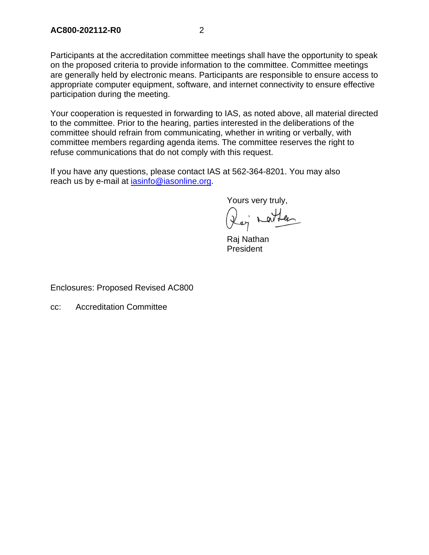Participants at the accreditation committee meetings shall have the opportunity to speak on the proposed criteria to provide information to the committee. Committee meetings are generally held by electronic means. Participants are responsible to ensure access to appropriate computer equipment, software, and internet connectivity to ensure effective participation during the meeting.

Your cooperation is requested in forwarding to IAS, as noted above, all material directed to the committee. Prior to the hearing, parties interested in the deliberations of the committee should refrain from communicating, whether in writing or verbally, with committee members regarding agenda items. The committee reserves the right to refuse communications that do not comply with this request.

If you have any questions, please contact IAS at 562-364-8201. You may also reach us by e-mail at iasinfo@iasonline.org.

Yours very truly,

Der nathan

Raj Nathan President

Enclosures: Proposed Revised AC800

cc: Accreditation Committee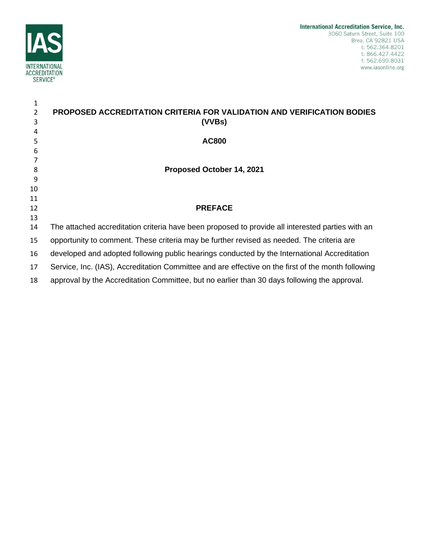

| 1             |                                                                                                    |
|---------------|----------------------------------------------------------------------------------------------------|
| $\mathcal{L}$ | PROPOSED ACCREDITATION CRITERIA FOR VALIDATION AND VERIFICATION BODIES                             |
| 3             | (VVBs)                                                                                             |
| 4             |                                                                                                    |
| 5             | <b>AC800</b>                                                                                       |
| 6             |                                                                                                    |
|               |                                                                                                    |
| 8             | Proposed October 14, 2021                                                                          |
| 9             |                                                                                                    |
| 10            |                                                                                                    |
| 11<br>12      | <b>PREFACE</b>                                                                                     |
| 13            |                                                                                                    |
| 14            | The attached accreditation criteria have been proposed to provide all interested parties with an   |
| 15            | opportunity to comment. These criteria may be further revised as needed. The criteria are          |
| 16            | developed and adopted following public hearings conducted by the International Accreditation       |
| 17            | Service, Inc. (IAS), Accreditation Committee and are effective on the first of the month following |
| 18            | approval by the Accreditation Committee, but no earlier than 30 days following the approval.       |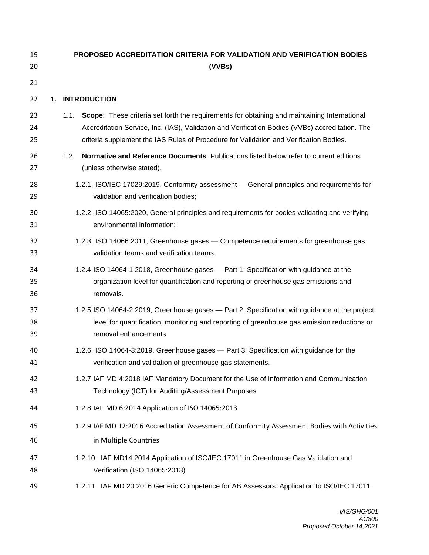| 19             | <b>PROPOSED ACCREDITATION CRITERIA FOR VALIDATION AND VERIFICATION BODIES</b>                                                                                                                                                                                                                     |  |  |  |
|----------------|---------------------------------------------------------------------------------------------------------------------------------------------------------------------------------------------------------------------------------------------------------------------------------------------------|--|--|--|
| 20             | (VVBs)                                                                                                                                                                                                                                                                                            |  |  |  |
| 21             |                                                                                                                                                                                                                                                                                                   |  |  |  |
| 22             | <b>INTRODUCTION</b><br>1.                                                                                                                                                                                                                                                                         |  |  |  |
| 23<br>24<br>25 | Scope: These criteria set forth the requirements for obtaining and maintaining International<br>1.1.<br>Accreditation Service, Inc. (IAS), Validation and Verification Bodies (VVBs) accreditation. The<br>criteria supplement the IAS Rules of Procedure for Validation and Verification Bodies. |  |  |  |
| 26<br>27       | Normative and Reference Documents: Publications listed below refer to current editions<br>1.2.<br>(unless otherwise stated).                                                                                                                                                                      |  |  |  |
| 28             | 1.2.1. ISO/IEC 17029:2019, Conformity assessment - General principles and requirements for                                                                                                                                                                                                        |  |  |  |
| 29             | validation and verification bodies;                                                                                                                                                                                                                                                               |  |  |  |
| 30             | 1.2.2. ISO 14065:2020, General principles and requirements for bodies validating and verifying                                                                                                                                                                                                    |  |  |  |
| 31             | environmental information;                                                                                                                                                                                                                                                                        |  |  |  |
| 32             | 1.2.3. ISO 14066:2011, Greenhouse gases - Competence requirements for greenhouse gas                                                                                                                                                                                                              |  |  |  |
| 33             | validation teams and verification teams.                                                                                                                                                                                                                                                          |  |  |  |
| 34             | 1.2.4.ISO 14064-1:2018, Greenhouse gases - Part 1: Specification with guidance at the                                                                                                                                                                                                             |  |  |  |
| 35             | organization level for quantification and reporting of greenhouse gas emissions and                                                                                                                                                                                                               |  |  |  |
| 36             | removals.                                                                                                                                                                                                                                                                                         |  |  |  |
| 37             | 1.2.5.ISO 14064-2:2019, Greenhouse gases - Part 2: Specification with guidance at the project                                                                                                                                                                                                     |  |  |  |
| 38             | level for quantification, monitoring and reporting of greenhouse gas emission reductions or                                                                                                                                                                                                       |  |  |  |
| 39             | removal enhancements                                                                                                                                                                                                                                                                              |  |  |  |
| 40             | 1.2.6. ISO 14064-3:2019, Greenhouse gases - Part 3: Specification with guidance for the                                                                                                                                                                                                           |  |  |  |
| 41             | verification and validation of greenhouse gas statements.                                                                                                                                                                                                                                         |  |  |  |
| 42             | 1.2.7.IAF MD 4:2018 IAF Mandatory Document for the Use of Information and Communication                                                                                                                                                                                                           |  |  |  |
| 43             | Technology (ICT) for Auditing/Assessment Purposes                                                                                                                                                                                                                                                 |  |  |  |
| 44             | 1.2.8.IAF MD 6:2014 Application of ISO 14065:2013                                                                                                                                                                                                                                                 |  |  |  |
| 45             | 1.2.9.IAF MD 12:2016 Accreditation Assessment of Conformity Assessment Bodies with Activities                                                                                                                                                                                                     |  |  |  |
| 46             | in Multiple Countries                                                                                                                                                                                                                                                                             |  |  |  |
| 47             | 1.2.10. IAF MD14:2014 Application of ISO/IEC 17011 in Greenhouse Gas Validation and                                                                                                                                                                                                               |  |  |  |
| 48             | Verification (ISO 14065:2013)                                                                                                                                                                                                                                                                     |  |  |  |
| 49             | 1.2.11. IAF MD 20:2016 Generic Competence for AB Assessors: Application to ISO/IEC 17011                                                                                                                                                                                                          |  |  |  |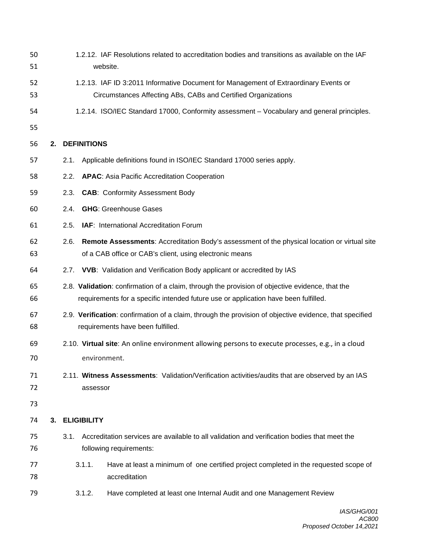| 50<br>51 |                                                                                                                                              | 1.2.12. IAF Resolutions related to accreditation bodies and transitions as available on the IAF<br>website.                                                                            |  |  |
|----------|----------------------------------------------------------------------------------------------------------------------------------------------|----------------------------------------------------------------------------------------------------------------------------------------------------------------------------------------|--|--|
| 52<br>53 |                                                                                                                                              | 1.2.13. IAF ID 3:2011 Informative Document for Management of Extraordinary Events or<br>Circumstances Affecting ABs, CABs and Certified Organizations                                  |  |  |
| 54       |                                                                                                                                              | 1.2.14. ISO/IEC Standard 17000, Conformity assessment - Vocabulary and general principles.                                                                                             |  |  |
| 55       |                                                                                                                                              |                                                                                                                                                                                        |  |  |
| 56       | 2.                                                                                                                                           | <b>DEFINITIONS</b>                                                                                                                                                                     |  |  |
| 57       |                                                                                                                                              | Applicable definitions found in ISO/IEC Standard 17000 series apply.<br>2.1.                                                                                                           |  |  |
| 58       |                                                                                                                                              | <b>APAC:</b> Asia Pacific Accreditation Cooperation<br>2.2.                                                                                                                            |  |  |
| 59       |                                                                                                                                              | <b>CAB: Conformity Assessment Body</b><br>2.3.                                                                                                                                         |  |  |
| 60       |                                                                                                                                              | <b>GHG: Greenhouse Gases</b><br>2.4.                                                                                                                                                   |  |  |
| 61       |                                                                                                                                              | IAF: International Accreditation Forum<br>2.5.                                                                                                                                         |  |  |
| 62<br>63 |                                                                                                                                              | Remote Assessments: Accreditation Body's assessment of the physical location or virtual site<br>2.6.<br>of a CAB office or CAB's client, using electronic means                        |  |  |
| 64       |                                                                                                                                              | 2.7. VVB: Validation and Verification Body applicant or accredited by IAS                                                                                                              |  |  |
| 65<br>66 |                                                                                                                                              | 2.8. Validation: confirmation of a claim, through the provision of objective evidence, that the<br>requirements for a specific intended future use or application have been fulfilled. |  |  |
| 67<br>68 | 2.9. Verification: confirmation of a claim, through the provision of objective evidence, that specified<br>requirements have been fulfilled. |                                                                                                                                                                                        |  |  |
| 69       |                                                                                                                                              | 2.10. Virtual site: An online environment allowing persons to execute processes, e.g., in a cloud                                                                                      |  |  |
| 70       |                                                                                                                                              | environment.                                                                                                                                                                           |  |  |
| 71<br>72 |                                                                                                                                              | 2.11. Witness Assessments: Validation/Verification activities/audits that are observed by an IAS<br>assessor                                                                           |  |  |
| 73       |                                                                                                                                              |                                                                                                                                                                                        |  |  |
| 74       | 3.                                                                                                                                           | <b>ELIGIBILITY</b>                                                                                                                                                                     |  |  |
| 75<br>76 |                                                                                                                                              | Accreditation services are available to all validation and verification bodies that meet the<br>3.1.<br>following requirements:                                                        |  |  |
| 77<br>78 |                                                                                                                                              | 3.1.1.<br>Have at least a minimum of one certified project completed in the requested scope of<br>accreditation                                                                        |  |  |
| 79       |                                                                                                                                              | 3.1.2.<br>Have completed at least one Internal Audit and one Management Review                                                                                                         |  |  |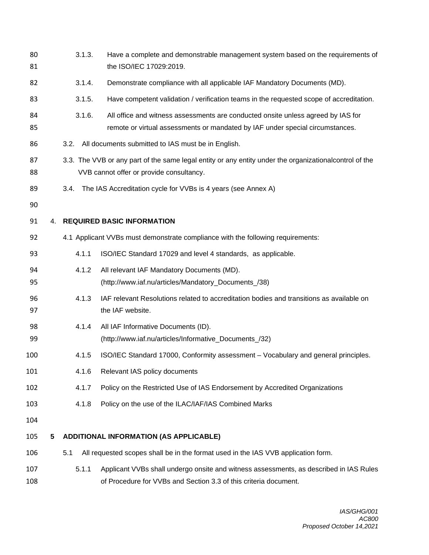| 80<br>81   | 3.1.3.<br>Have a complete and demonstrable management system based on the requirements of<br>the ISO/IEC 17029:2019.                                |        |                                                                                                                                                                   |  |
|------------|-----------------------------------------------------------------------------------------------------------------------------------------------------|--------|-------------------------------------------------------------------------------------------------------------------------------------------------------------------|--|
| 82         |                                                                                                                                                     | 3.1.4. | Demonstrate compliance with all applicable IAF Mandatory Documents (MD).                                                                                          |  |
| 83         |                                                                                                                                                     | 3.1.5. | Have competent validation / verification teams in the requested scope of accreditation.                                                                           |  |
| 84<br>85   |                                                                                                                                                     | 3.1.6. | All office and witness assessments are conducted onsite unless agreed by IAS for<br>remote or virtual assessments or mandated by IAF under special circumstances. |  |
| 86         |                                                                                                                                                     | 3.2.   | All documents submitted to IAS must be in English.                                                                                                                |  |
| 87<br>88   | 3.3. The VVB or any part of the same legal entity or any entity under the organizational control of the<br>VVB cannot offer or provide consultancy. |        |                                                                                                                                                                   |  |
| 89         |                                                                                                                                                     | 3.4.   | The IAS Accreditation cycle for VVBs is 4 years (see Annex A)                                                                                                     |  |
| 90         |                                                                                                                                                     |        |                                                                                                                                                                   |  |
| 91         | 4.                                                                                                                                                  |        | <b>REQUIRED BASIC INFORMATION</b>                                                                                                                                 |  |
| 92         |                                                                                                                                                     |        | 4.1 Applicant VVBs must demonstrate compliance with the following requirements:                                                                                   |  |
| 93         |                                                                                                                                                     | 4.1.1  | ISO/IEC Standard 17029 and level 4 standards, as applicable.                                                                                                      |  |
| 94<br>95   |                                                                                                                                                     | 4.1.2  | All relevant IAF Mandatory Documents (MD).<br>(http://www.iaf.nu/articles/Mandatory_Documents_/38)                                                                |  |
| 96<br>97   |                                                                                                                                                     | 4.1.3  | IAF relevant Resolutions related to accreditation bodies and transitions as available on<br>the IAF website.                                                      |  |
| 98<br>99   |                                                                                                                                                     | 4.1.4  | All IAF Informative Documents (ID).<br>(http://www.iaf.nu/articles/Informative_Documents_/32)                                                                     |  |
| 100        |                                                                                                                                                     | 4.1.5  | ISO/IEC Standard 17000, Conformity assessment - Vocabulary and general principles.                                                                                |  |
| 101        |                                                                                                                                                     | 4.1.6  | Relevant IAS policy documents                                                                                                                                     |  |
| 102        |                                                                                                                                                     | 4.1.7  | Policy on the Restricted Use of IAS Endorsement by Accredited Organizations                                                                                       |  |
| 103        |                                                                                                                                                     | 4.1.8  | Policy on the use of the ILAC/IAF/IAS Combined Marks                                                                                                              |  |
| 104        |                                                                                                                                                     |        |                                                                                                                                                                   |  |
| 105        | 5                                                                                                                                                   |        | <b>ADDITIONAL INFORMATION (AS APPLICABLE)</b>                                                                                                                     |  |
| 106        |                                                                                                                                                     | 5.1    | All requested scopes shall be in the format used in the IAS VVB application form.                                                                                 |  |
| 107<br>108 |                                                                                                                                                     | 5.1.1  | Applicant VVBs shall undergo onsite and witness assessments, as described in IAS Rules<br>of Procedure for VVBs and Section 3.3 of this criteria document.        |  |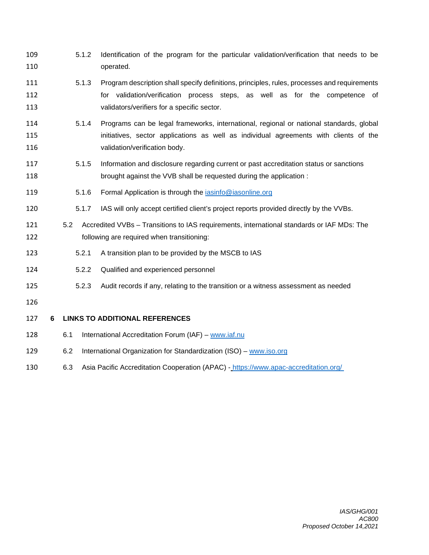- 5.1.2 Identification of the program for the particular validation/verification that needs to be operated.
- 5.1.3 Program description shall specify definitions, principles, rules, processes and requirements for validation/verification process steps, as well as for the competence of validators/verifiers for a specific sector.
- 5.1.4 Programs can be legal frameworks, international, regional or national standards, global initiatives, sector applications as well as individual agreements with clients of the validation/verification body.
- 5.1.5 Information and disclosure regarding current or past accreditation status or sanctions brought against the VVB shall be requested during the application :
- 5.1.6 Formal Application is through the iasinfo@iasonline.org
- 5.1.7 IAS will only accept certified client's project reports provided directly by the VVBs.
- 5.2 Accredited VVBs Transitions to IAS requirements, international standards or IAF MDs: The following are required when transitioning:
- 5.2.1 A transition plan to be provided by the MSCB to IAS
- 5.2.2 Qualified and experienced personnel
- 5.2.3 Audit records if any, relating to the transition or a witness assessment as needed
- 
- **6 LINKS TO ADDITIONAL REFERENCES**
- 6.1 International Accreditation Forum (IAF) www.iaf.nu
- 6.2 International Organization for Standardization (ISO) www.iso.org
- 6.3 Asia Pacific Accreditation Cooperation (APAC) https://www.apac-accreditation.org/